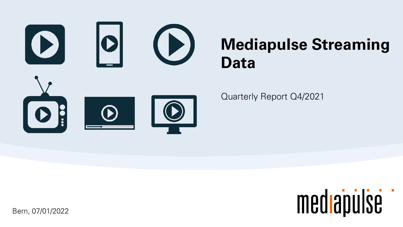



Bern, 07/01/2022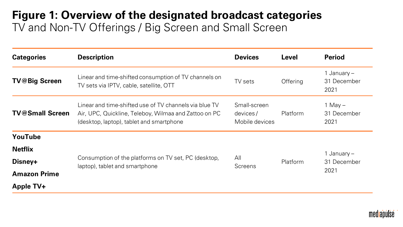### **Figure 1: Overview of the designated broadcast categories** TV and Non-TV Offerings / Big Screen and Small Screen

| <b>Categories</b>      | <b>Description</b>                                                                                                                                          | <b>Devices</b>                             | <b>Level</b>    | <b>Period</b>                        |
|------------------------|-------------------------------------------------------------------------------------------------------------------------------------------------------------|--------------------------------------------|-----------------|--------------------------------------|
| <b>TV@Big Screen</b>   | Linear and time-shifted consumption of TV channels on<br>TV sets via IPTV, cable, satellite, OTT                                                            | TV sets                                    | Offering        | 1 January $-$<br>31 December<br>2021 |
| <b>TV@Small Screen</b> | Linear and time-shifted use of TV channels via blue TV<br>Air, UPC, Quickline, Teleboy, Wilmaa and Zattoo on PC<br>(desktop, laptop), tablet and smartphone | Small-screen<br>devices/<br>Mobile devices | Platform        | 1 May $-$<br>31 December<br>2021     |
| YouTube                |                                                                                                                                                             |                                            |                 |                                      |
| <b>Netflix</b>         |                                                                                                                                                             |                                            |                 | 1 January –                          |
| Disney+                | Consumption of the platforms on TV set, PC (desktop,<br>laptop), tablet and smartphone                                                                      | All<br><b>Screens</b>                      | <b>Platform</b> | 31 December                          |
| <b>Amazon Prime</b>    |                                                                                                                                                             |                                            |                 | 2021                                 |
| Apple TV+              |                                                                                                                                                             |                                            |                 |                                      |

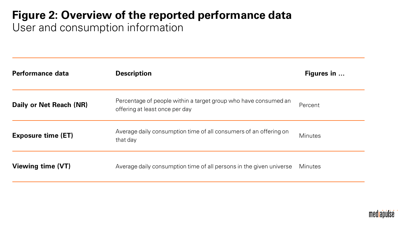# **Figure 2: Overview of the reported performance data**

User and consumption information

| Performance data          | <b>Description</b>                                                                                | Figures in     |
|---------------------------|---------------------------------------------------------------------------------------------------|----------------|
| Daily or Net Reach (NR)   | Percentage of people within a target group who have consumed an<br>offering at least once per day | Percent        |
| <b>Exposure time (ET)</b> | Average daily consumption time of all consumers of an offering on<br>that day                     | <b>Minutes</b> |
| <b>Viewing time (VT)</b>  | Average daily consumption time of all persons in the given universe                               | Minutes        |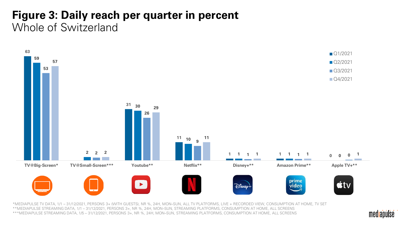## **Figure 3: Daily reach per quarter in percent** Whole of Switzerland



mediapulse

\*MEDIAPULSE TV DATA, 1/1 – 31/12/2021, PERSONS 3+ (WITH GUESTS), NR %, 24H, MON–SUN, ALL TV PLATFORMS, LIVE + RECORDED VIEW, CONSUMPTION AT HOME, TV SET \*\*MEDIAPULSE STREAMING DATA, 1/1 – 31/12/2021, PERSONS 3+, NR %, 24H, MON–SUN, STREAMING PLATFORMS, CONSUMPTION AT HOME, ALL SCREENS \*\*\*MEDIAPULSE STREAMING DATA, 1/5 – 31/12/2021, PERSONS 3+, NR %, 24H, MON–SUN, STREAMING PLATFORMS, CONSUMPTION AT HOME, ALL SCREENS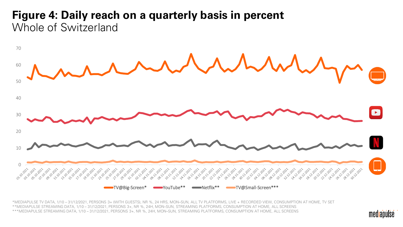#### **Figure 4: Daily reach on a quarterly basis in percent** Whole of Switzerland



\*MEDIAPULSE TV DATA, 1/10 – 31/12/2021, PERSONS 3+ (WITH GUESTS), NR %, 24 HRS, MON–SUN, ALL TV PLATFORMS, LIVE + RECORDED VIEW, CONSUMPTION AT HOME, TV SET \*\*MEDIAPULSE STREAMING DATA, 1/10 – 31/12/2021, PERSONS 3+, NR %, 24H, MON–SUN, STREAMING PLATFORMS, CONSUMPTION AT HOME, ALL SCREENS \*\*\*MEDIAPULSE STREAMING DATA, 1/10 – 31/12/2021, PERSONS 3+, NR %, 24H, MON–SUN, STREAMING PLATFORMS, CONSUMPTION AT HOME, ALL SCREENS

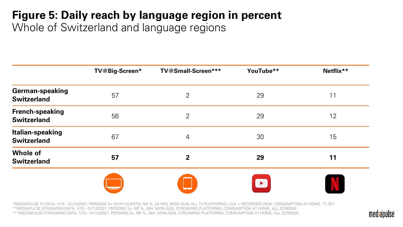# **Figure 5: Daily reach by language region in percent**

Whole of Switzerland and language regions

|                                               | TV@Big-Screen* | TV@Small-Screen***       | YouTube**             | Netflix** |
|-----------------------------------------------|----------------|--------------------------|-----------------------|-----------|
| <b>German-speaking</b><br><b>Switzerland</b>  | 57             | $\overline{2}$           | 29                    | 11        |
| <b>French-speaking</b><br><b>Switzerland</b>  | 56             | $\overline{2}$           | 29                    | 12        |
| <b>Italian-speaking</b><br><b>Switzerland</b> | 67             | $\overline{4}$           | 30                    | 15        |
| <b>Whole of</b><br><b>Switzerland</b>         | 57             | $\overline{2}$           | 29                    | 11        |
|                                               |                | $\overline{\phantom{a}}$ | $\blacktriangleright$ |           |

\*MEDIAPULSE TV DATA, 1/10 – 31/12/2021, PERSONS 3+ (WITH GUESTS), NR %, 24 HRS, MON–SUN, ALL TV PLATFORMS, LIVE + RECORDED VIEW, CONSUMPTION AT HOME, TV SET \*\*MEDIAPULSE STREAMING DATA, 1/10 – 31/12/2021, PERSONS 3+, NR %, 24H, MON–SUN, STREAMING PLATFORMS, CONSUMPTION AT HOME, ALL SCREENS \*\*\*MEDIAPULSE STREAMING DATA, 1/10 – 31/12/2021, PERSONS 3+, NR %, 24H, MON–SUN, STREAMING PLATFORMS, CONSUMPTION AT HOME, ALL SCREENS

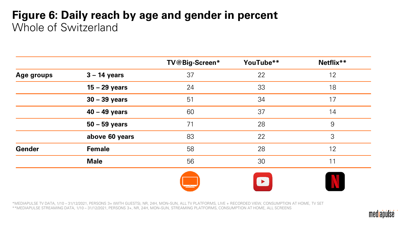### **Figure 6: Daily reach by age and gender in percent**  Whole of Switzerland

|               |                 | TV@Big-Screen* | YouTube** | Netflix** |
|---------------|-----------------|----------------|-----------|-----------|
| Age groups    | $3 - 14$ years  | 37             | 22        | 12        |
|               | $15 - 29$ years | 24             | 33        | 18        |
|               | $30 - 39$ years | 51             | 34        | 17        |
|               | $40 - 49$ years | 60             | 37        | 14        |
|               | $50 - 59$ years | 71             | 28        | 9         |
|               | above 60 years  | 83             | 22        | 3         |
| <b>Gender</b> | <b>Female</b>   | 58             | 28        | 12        |
|               | <b>Male</b>     | 56             | 30        | 11        |
|               |                 |                |           |           |
|               |                 |                | ▶         |           |

\*MEDIAPULSE TV DATA, 1/10 – 31/12/2021, PERSONS 3+ (WITH GUESTS), NR, 24H, MON–SUN, ALL TV PLATFORMS, LIVE + RECORDED VIEW, CONSUMPTION AT HOME, TV SET \*\*MEDIAPULSE STREAMING DATA, 1/10 – 31/12/2021, PERSONS 3+, NR, 24H, MON–SUN, STREAMING PLATFORMS, CONSUMPTION AT HOME, ALL SCREENS

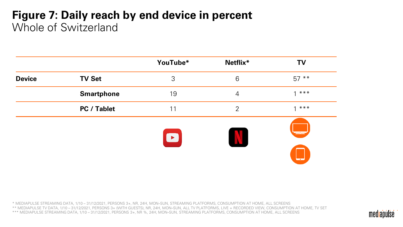### **Figure 7: Daily reach by end device in percent** Whole of Switzerland

|               |                    | YouTube*  | Netflix*       | <b>TV</b>                |
|---------------|--------------------|-----------|----------------|--------------------------|
| <b>Device</b> | <b>TV Set</b>      | 3         | 6              | $57***$                  |
|               | <b>Smartphone</b>  | 19        | $\overline{4}$ | $***$<br>$\overline{ }$  |
|               | <b>PC / Tablet</b> | 11        | $\overline{2}$ | $***$                    |
|               |                    | $\bullet$ |                | $\overline{\phantom{a}}$ |

\* MEDIAPULSE STREAMING DATA, 1/10 – 31/12/2021, PERSONS 3+, NR, 24H, MON–SUN, STREAMING PLATFORMS, CONSUMPTION AT HOME, ALL SCREENS \*\* MEDIAPULSE TV DATA, 1/10 – 31/12/2021, PERSONS 3+ (WITH GUESTS), NR, 24H, MON–SUN, ALL TV PLATFORMS, LIVE + RECORDED VIEW, CONSUMPTION AT HOME, TV SET \*\*\* MEDIAPULSE STREAMING DATA, 1/10 – 31/12/2021, PERSONS 3+, NR %, 24H, MON–SUN, STREAMING PLATFORMS, CONSUMPTION AT HOME, ALL SCREENS